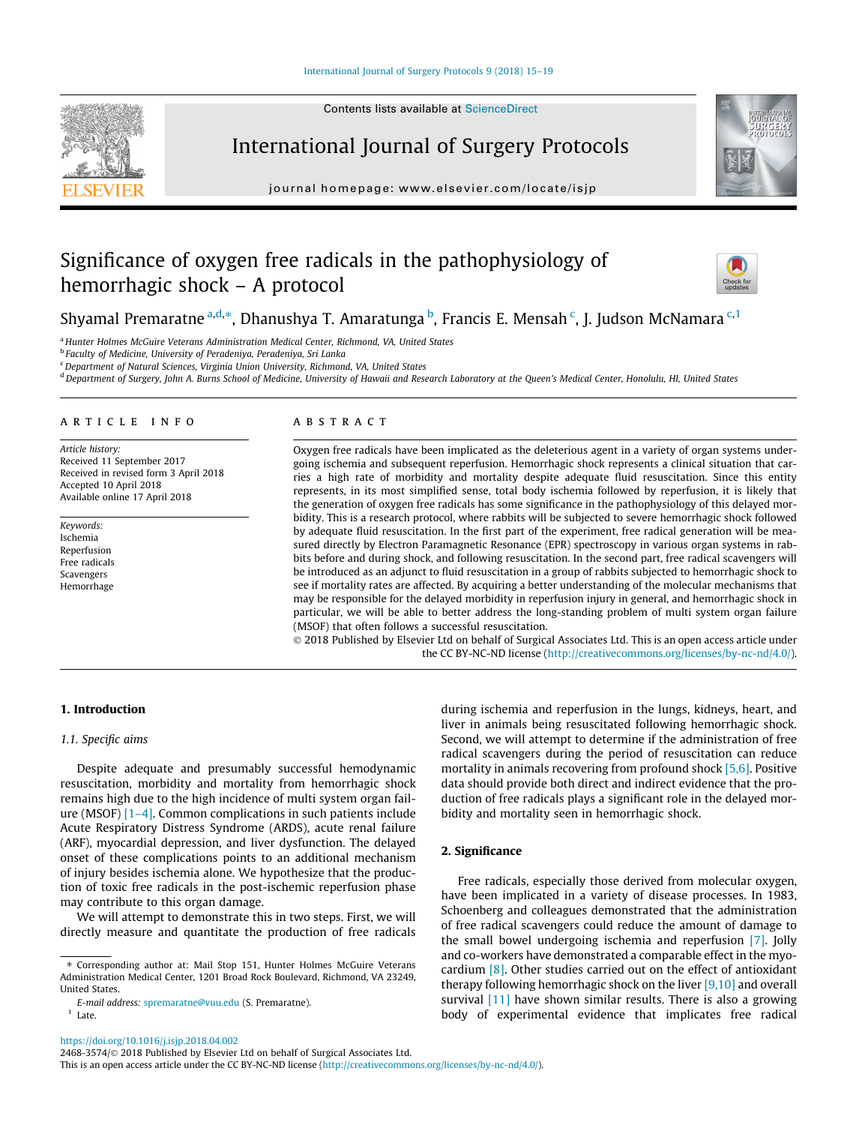



International Journal of Surgery Protocols journal homepage: [www.elsevier.com/locate/isjp](http://www.elsevier.com/locate/isjp)

# Significance of oxygen free radicals in the pathophysiology of



# Shyamal Premaratne <sup>a,d,</sup>\*, Dhanushya T. Amaratunga <sup>b</sup>, Francis E. Mensah <sup>c</sup>, J. Judson McNamara <sup>c,1</sup>

<sup>a</sup> Hunter Holmes McGuire Veterans Administration Medical Center, Richmond, VA, United States

<sup>b</sup> Faculty of Medicine, University of Peradeniya, Peradeniya, Sri Lanka

hemorrhagic shock – A protocol

<sup>c</sup> Department of Natural Sciences, Virginia Union University, Richmond, VA, United States

<sup>d</sup> Department of Surgery, John A. Burns School of Medicine, University of Hawaii and Research Laboratory at the Queen's Medical Center, Honolulu, HI, United States

#### article info

Article history: Received 11 September 2017 Received in revised form 3 April 2018 Accepted 10 April 2018 Available online 17 April 2018

Keywords: Ischemia Reperfusion Free radicals Scavengers Hemorrhage

# **ABSTRACT**

Oxygen free radicals have been implicated as the deleterious agent in a variety of organ systems undergoing ischemia and subsequent reperfusion. Hemorrhagic shock represents a clinical situation that carries a high rate of morbidity and mortality despite adequate fluid resuscitation. Since this entity represents, in its most simplified sense, total body ischemia followed by reperfusion, it is likely that the generation of oxygen free radicals has some significance in the pathophysiology of this delayed morbidity. This is a research protocol, where rabbits will be subjected to severe hemorrhagic shock followed by adequate fluid resuscitation. In the first part of the experiment, free radical generation will be measured directly by Electron Paramagnetic Resonance (EPR) spectroscopy in various organ systems in rabbits before and during shock, and following resuscitation. In the second part, free radical scavengers will be introduced as an adjunct to fluid resuscitation in a group of rabbits subjected to hemorrhagic shock to see if mortality rates are affected. By acquiring a better understanding of the molecular mechanisms that may be responsible for the delayed morbidity in reperfusion injury in general, and hemorrhagic shock in particular, we will be able to better address the long-standing problem of multi system organ failure (MSOF) that often follows a successful resuscitation.

 2018 Published by Elsevier Ltd on behalf of Surgical Associates Ltd. This is an open access article under the CC BY-NC-ND license (<http://creativecommons.org/licenses/by-nc-nd/4.0/>).

# 1. Introduction

# 1.1. Specific aims

Despite adequate and presumably successful hemodynamic resuscitation, morbidity and mortality from hemorrhagic shock remains high due to the high incidence of multi system organ failure (MSOF)  $[1-4]$ . Common complications in such patients include Acute Respiratory Distress Syndrome (ARDS), acute renal failure (ARF), myocardial depression, and liver dysfunction. The delayed onset of these complications points to an additional mechanism of injury besides ischemia alone. We hypothesize that the production of toxic free radicals in the post-ischemic reperfusion phase may contribute to this organ damage.

We will attempt to demonstrate this in two steps. First, we will directly measure and quantitate the production of free radicals

E-mail address: [spremaratne@vuu.edu](mailto:spremaratne@vuu.edu) (S. Premaratne).

 $1$  Late.

<https://doi.org/10.1016/j.isjp.2018.04.002>

2468-3574/ 2018 Published by Elsevier Ltd on behalf of Surgical Associates Ltd.

This is an open access article under the CC BY-NC-ND license ([http://creativecommons.org/licenses/by-nc-nd/4.0/\)](http://creativecommons.org/licenses/by-nc-nd/4.0/).

during ischemia and reperfusion in the lungs, kidneys, heart, and liver in animals being resuscitated following hemorrhagic shock. Second, we will attempt to determine if the administration of free radical scavengers during the period of resuscitation can reduce mortality in animals recovering from profound shock [\[5,6\]](#page-3-0). Positive data should provide both direct and indirect evidence that the production of free radicals plays a significant role in the delayed morbidity and mortality seen in hemorrhagic shock.

#### 2. Significance

Free radicals, especially those derived from molecular oxygen, have been implicated in a variety of disease processes. In 1983, Schoenberg and colleagues demonstrated that the administration of free radical scavengers could reduce the amount of damage to the small bowel undergoing ischemia and reperfusion [\[7\].](#page-3-0) Jolly and co-workers have demonstrated a comparable effect in the myocardium [\[8\]](#page-3-0). Other studies carried out on the effect of antioxidant therapy following hemorrhagic shock on the liver [\[9,10\]](#page-3-0) and overall survival [\[11\]](#page-3-0) have shown similar results. There is also a growing body of experimental evidence that implicates free radical

<sup>⇑</sup> Corresponding author at: Mail Stop 151, Hunter Holmes McGuire Veterans Administration Medical Center, 1201 Broad Rock Boulevard, Richmond, VA 23249, United States.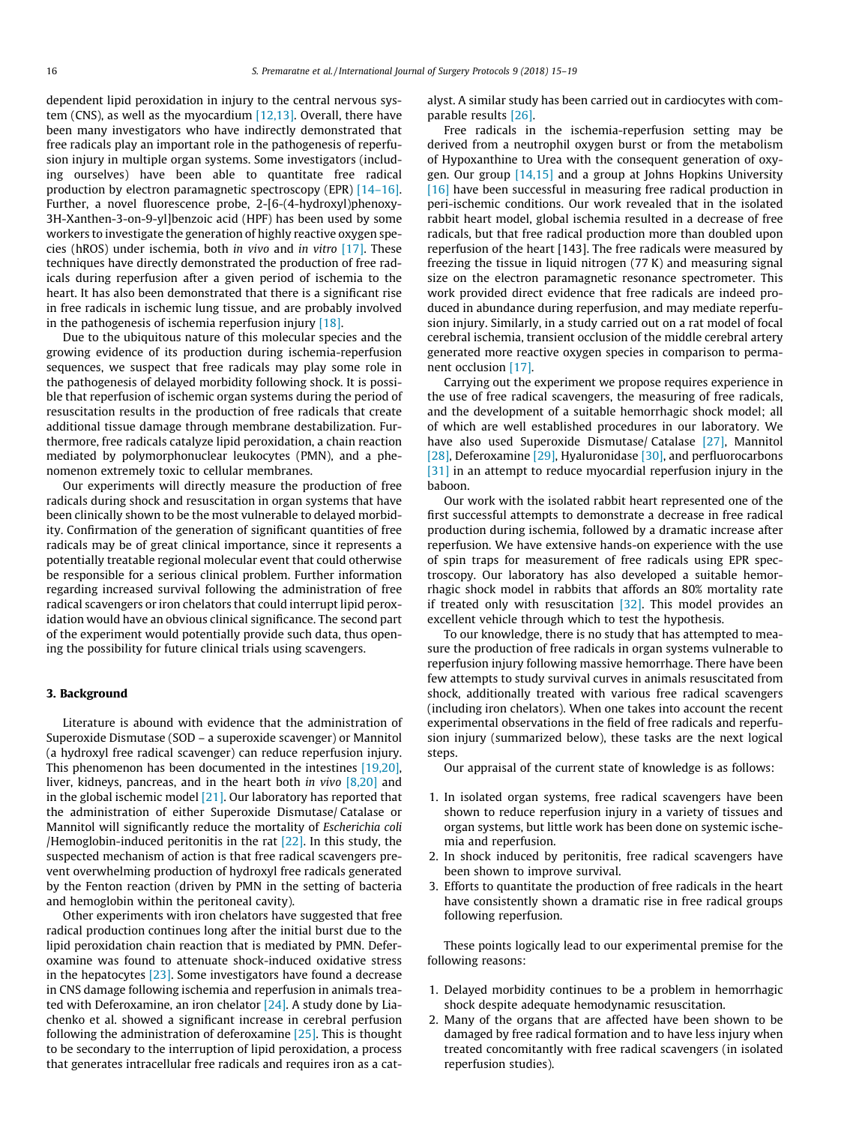dependent lipid peroxidation in injury to the central nervous system (CNS), as well as the myocardium [\[12,13\].](#page-4-0) Overall, there have been many investigators who have indirectly demonstrated that free radicals play an important role in the pathogenesis of reperfusion injury in multiple organ systems. Some investigators (including ourselves) have been able to quantitate free radical production by electron paramagnetic spectroscopy (EPR) [\[14–16\].](#page-4-0) Further, a novel fluorescence probe, 2-[6-(4-hydroxyl)phenoxy-3H-Xanthen-3-on-9-yl]benzoic acid (HPF) has been used by some workers to investigate the generation of highly reactive oxygen species (hROS) under ischemia, both in vivo and in vitro [\[17\].](#page-4-0) These techniques have directly demonstrated the production of free radicals during reperfusion after a given period of ischemia to the heart. It has also been demonstrated that there is a significant rise in free radicals in ischemic lung tissue, and are probably involved in the pathogenesis of ischemia reperfusion injury [\[18\].](#page-4-0)

Due to the ubiquitous nature of this molecular species and the growing evidence of its production during ischemia-reperfusion sequences, we suspect that free radicals may play some role in the pathogenesis of delayed morbidity following shock. It is possible that reperfusion of ischemic organ systems during the period of resuscitation results in the production of free radicals that create additional tissue damage through membrane destabilization. Furthermore, free radicals catalyze lipid peroxidation, a chain reaction mediated by polymorphonuclear leukocytes (PMN), and a phenomenon extremely toxic to cellular membranes.

Our experiments will directly measure the production of free radicals during shock and resuscitation in organ systems that have been clinically shown to be the most vulnerable to delayed morbidity. Confirmation of the generation of significant quantities of free radicals may be of great clinical importance, since it represents a potentially treatable regional molecular event that could otherwise be responsible for a serious clinical problem. Further information regarding increased survival following the administration of free radical scavengers or iron chelators that could interrupt lipid peroxidation would have an obvious clinical significance. The second part of the experiment would potentially provide such data, thus opening the possibility for future clinical trials using scavengers.

### 3. Background

Literature is abound with evidence that the administration of Superoxide Dismutase (SOD – a superoxide scavenger) or Mannitol (a hydroxyl free radical scavenger) can reduce reperfusion injury. This phenomenon has been documented in the intestines [\[19,20\],](#page-4-0) liver, kidneys, pancreas, and in the heart both in vivo [\[8,20\]](#page-3-0) and in the global ischemic model  $[21]$ . Our laboratory has reported that the administration of either Superoxide Dismutase/ Catalase or Mannitol will significantly reduce the mortality of Escherichia coli /Hemoglobin-induced peritonitis in the rat  $[22]$ . In this study, the suspected mechanism of action is that free radical scavengers prevent overwhelming production of hydroxyl free radicals generated by the Fenton reaction (driven by PMN in the setting of bacteria and hemoglobin within the peritoneal cavity).

Other experiments with iron chelators have suggested that free radical production continues long after the initial burst due to the lipid peroxidation chain reaction that is mediated by PMN. Deferoxamine was found to attenuate shock-induced oxidative stress in the hepatocytes [\[23\].](#page-4-0) Some investigators have found a decrease in CNS damage following ischemia and reperfusion in animals treated with Deferoxamine, an iron chelator [\[24\].](#page-4-0) A study done by Liachenko et al. showed a significant increase in cerebral perfusion following the administration of deferoxamine [\[25\]](#page-4-0). This is thought to be secondary to the interruption of lipid peroxidation, a process that generates intracellular free radicals and requires iron as a catalyst. A similar study has been carried out in cardiocytes with comparable results [\[26\].](#page-4-0)

Free radicals in the ischemia-reperfusion setting may be derived from a neutrophil oxygen burst or from the metabolism of Hypoxanthine to Urea with the consequent generation of oxygen. Our group [\[14,15\]](#page-4-0) and a group at Johns Hopkins University [\[16\]](#page-4-0) have been successful in measuring free radical production in peri-ischemic conditions. Our work revealed that in the isolated rabbit heart model, global ischemia resulted in a decrease of free radicals, but that free radical production more than doubled upon reperfusion of the heart [143]. The free radicals were measured by freezing the tissue in liquid nitrogen (77 K) and measuring signal size on the electron paramagnetic resonance spectrometer. This work provided direct evidence that free radicals are indeed produced in abundance during reperfusion, and may mediate reperfusion injury. Similarly, in a study carried out on a rat model of focal cerebral ischemia, transient occlusion of the middle cerebral artery generated more reactive oxygen species in comparison to permanent occlusion [\[17\]](#page-4-0).

Carrying out the experiment we propose requires experience in the use of free radical scavengers, the measuring of free radicals, and the development of a suitable hemorrhagic shock model; all of which are well established procedures in our laboratory. We have also used Superoxide Dismutase/ Catalase [\[27\]](#page-4-0), Mannitol [\[28\]](#page-4-0), Deferoxamine [\[29\],](#page-4-0) Hyaluronidase [\[30\]](#page-4-0), and perfluorocarbons [\[31\]](#page-4-0) in an attempt to reduce myocardial reperfusion injury in the baboon.

Our work with the isolated rabbit heart represented one of the first successful attempts to demonstrate a decrease in free radical production during ischemia, followed by a dramatic increase after reperfusion. We have extensive hands-on experience with the use of spin traps for measurement of free radicals using EPR spectroscopy. Our laboratory has also developed a suitable hemorrhagic shock model in rabbits that affords an 80% mortality rate if treated only with resuscitation  $[32]$ . This model provides an excellent vehicle through which to test the hypothesis.

To our knowledge, there is no study that has attempted to measure the production of free radicals in organ systems vulnerable to reperfusion injury following massive hemorrhage. There have been few attempts to study survival curves in animals resuscitated from shock, additionally treated with various free radical scavengers (including iron chelators). When one takes into account the recent experimental observations in the field of free radicals and reperfusion injury (summarized below), these tasks are the next logical steps.

Our appraisal of the current state of knowledge is as follows:

- 1. In isolated organ systems, free radical scavengers have been shown to reduce reperfusion injury in a variety of tissues and organ systems, but little work has been done on systemic ischemia and reperfusion.
- 2. In shock induced by peritonitis, free radical scavengers have been shown to improve survival.
- 3. Efforts to quantitate the production of free radicals in the heart have consistently shown a dramatic rise in free radical groups following reperfusion.

These points logically lead to our experimental premise for the following reasons:

- 1. Delayed morbidity continues to be a problem in hemorrhagic shock despite adequate hemodynamic resuscitation.
- 2. Many of the organs that are affected have been shown to be damaged by free radical formation and to have less injury when treated concomitantly with free radical scavengers (in isolated reperfusion studies).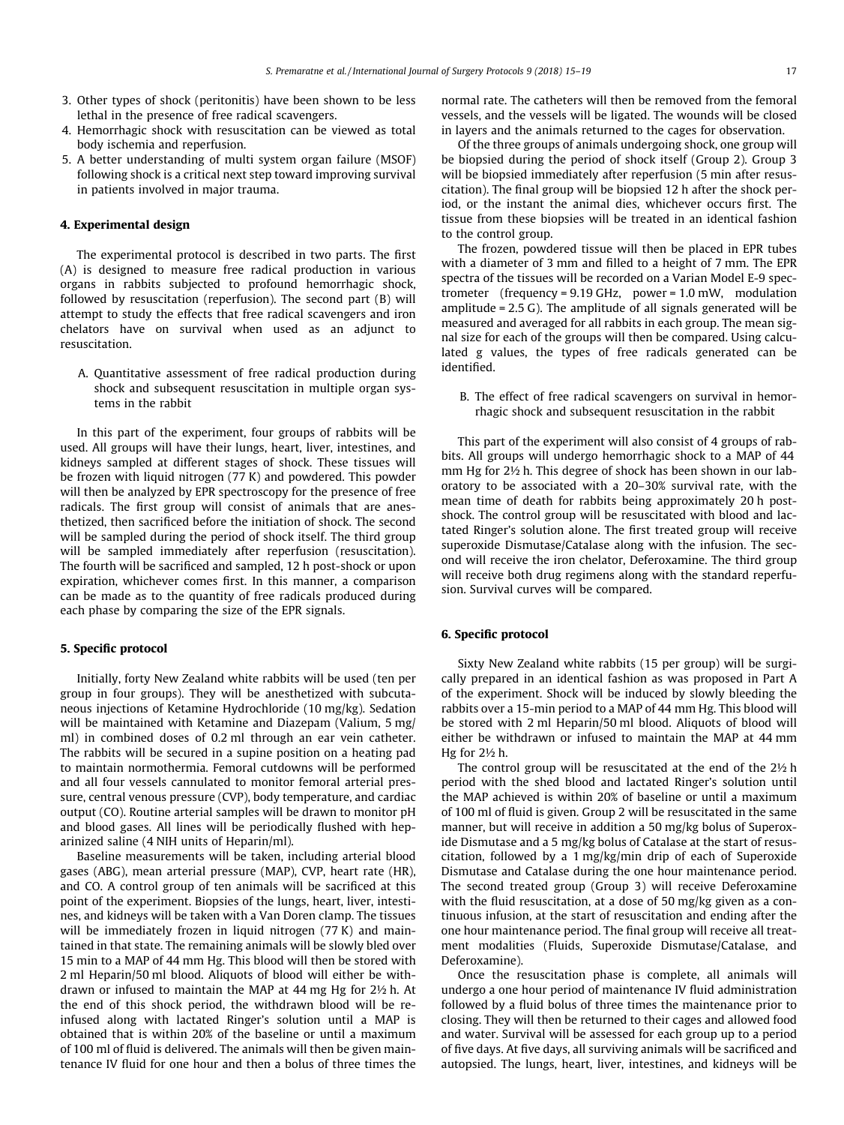- 3. Other types of shock (peritonitis) have been shown to be less lethal in the presence of free radical scavengers.
- 4. Hemorrhagic shock with resuscitation can be viewed as total body ischemia and reperfusion.
- 5. A better understanding of multi system organ failure (MSOF) following shock is a critical next step toward improving survival in patients involved in major trauma.

#### 4. Experimental design

The experimental protocol is described in two parts. The first (A) is designed to measure free radical production in various organs in rabbits subjected to profound hemorrhagic shock, followed by resuscitation (reperfusion). The second part (B) will attempt to study the effects that free radical scavengers and iron chelators have on survival when used as an adjunct to resuscitation.

A. Quantitative assessment of free radical production during shock and subsequent resuscitation in multiple organ systems in the rabbit

In this part of the experiment, four groups of rabbits will be used. All groups will have their lungs, heart, liver, intestines, and kidneys sampled at different stages of shock. These tissues will be frozen with liquid nitrogen (77 K) and powdered. This powder will then be analyzed by EPR spectroscopy for the presence of free radicals. The first group will consist of animals that are anesthetized, then sacrificed before the initiation of shock. The second will be sampled during the period of shock itself. The third group will be sampled immediately after reperfusion (resuscitation). The fourth will be sacrificed and sampled, 12 h post-shock or upon expiration, whichever comes first. In this manner, a comparison can be made as to the quantity of free radicals produced during each phase by comparing the size of the EPR signals.

#### 5. Specific protocol

Initially, forty New Zealand white rabbits will be used (ten per group in four groups). They will be anesthetized with subcutaneous injections of Ketamine Hydrochloride (10 mg/kg). Sedation will be maintained with Ketamine and Diazepam (Valium, 5 mg/ ml) in combined doses of 0.2 ml through an ear vein catheter. The rabbits will be secured in a supine position on a heating pad to maintain normothermia. Femoral cutdowns will be performed and all four vessels cannulated to monitor femoral arterial pressure, central venous pressure (CVP), body temperature, and cardiac output (CO). Routine arterial samples will be drawn to monitor pH and blood gases. All lines will be periodically flushed with heparinized saline (4 NIH units of Heparin/ml).

Baseline measurements will be taken, including arterial blood gases (ABG), mean arterial pressure (MAP), CVP, heart rate (HR), and CO. A control group of ten animals will be sacrificed at this point of the experiment. Biopsies of the lungs, heart, liver, intestines, and kidneys will be taken with a Van Doren clamp. The tissues will be immediately frozen in liquid nitrogen (77 K) and maintained in that state. The remaining animals will be slowly bled over 15 min to a MAP of 44 mm Hg. This blood will then be stored with 2 ml Heparin/50 ml blood. Aliquots of blood will either be withdrawn or infused to maintain the MAP at 44 mg Hg for 2½ h. At the end of this shock period, the withdrawn blood will be reinfused along with lactated Ringer's solution until a MAP is obtained that is within 20% of the baseline or until a maximum of 100 ml of fluid is delivered. The animals will then be given maintenance IV fluid for one hour and then a bolus of three times the normal rate. The catheters will then be removed from the femoral vessels, and the vessels will be ligated. The wounds will be closed in layers and the animals returned to the cages for observation.

Of the three groups of animals undergoing shock, one group will be biopsied during the period of shock itself (Group 2). Group 3 will be biopsied immediately after reperfusion (5 min after resuscitation). The final group will be biopsied 12 h after the shock period, or the instant the animal dies, whichever occurs first. The tissue from these biopsies will be treated in an identical fashion to the control group.

The frozen, powdered tissue will then be placed in EPR tubes with a diameter of 3 mm and filled to a height of 7 mm. The EPR spectra of the tissues will be recorded on a Varian Model E-9 spectrometer (frequency = 9.19 GHz, power = 1.0 mW, modulation amplitude = 2.5 G). The amplitude of all signals generated will be measured and averaged for all rabbits in each group. The mean signal size for each of the groups will then be compared. Using calculated g values, the types of free radicals generated can be identified.

B. The effect of free radical scavengers on survival in hemorrhagic shock and subsequent resuscitation in the rabbit

This part of the experiment will also consist of 4 groups of rabbits. All groups will undergo hemorrhagic shock to a MAP of 44 mm Hg for 2½ h. This degree of shock has been shown in our laboratory to be associated with a 20–30% survival rate, with the mean time of death for rabbits being approximately 20 h postshock. The control group will be resuscitated with blood and lactated Ringer's solution alone. The first treated group will receive superoxide Dismutase/Catalase along with the infusion. The second will receive the iron chelator, Deferoxamine. The third group will receive both drug regimens along with the standard reperfusion. Survival curves will be compared.

#### 6. Specific protocol

Sixty New Zealand white rabbits (15 per group) will be surgically prepared in an identical fashion as was proposed in Part A of the experiment. Shock will be induced by slowly bleeding the rabbits over a 15-min period to a MAP of 44 mm Hg. This blood will be stored with 2 ml Heparin/50 ml blood. Aliquots of blood will either be withdrawn or infused to maintain the MAP at 44 mm Hg for 2½ h.

The control group will be resuscitated at the end of the 2½ h period with the shed blood and lactated Ringer's solution until the MAP achieved is within 20% of baseline or until a maximum of 100 ml of fluid is given. Group 2 will be resuscitated in the same manner, but will receive in addition a 50 mg/kg bolus of Superoxide Dismutase and a 5 mg/kg bolus of Catalase at the start of resuscitation, followed by a 1 mg/kg/min drip of each of Superoxide Dismutase and Catalase during the one hour maintenance period. The second treated group (Group 3) will receive Deferoxamine with the fluid resuscitation, at a dose of 50 mg/kg given as a continuous infusion, at the start of resuscitation and ending after the one hour maintenance period. The final group will receive all treatment modalities (Fluids, Superoxide Dismutase/Catalase, and Deferoxamine).

Once the resuscitation phase is complete, all animals will undergo a one hour period of maintenance IV fluid administration followed by a fluid bolus of three times the maintenance prior to closing. They will then be returned to their cages and allowed food and water. Survival will be assessed for each group up to a period of five days. At five days, all surviving animals will be sacrificed and autopsied. The lungs, heart, liver, intestines, and kidneys will be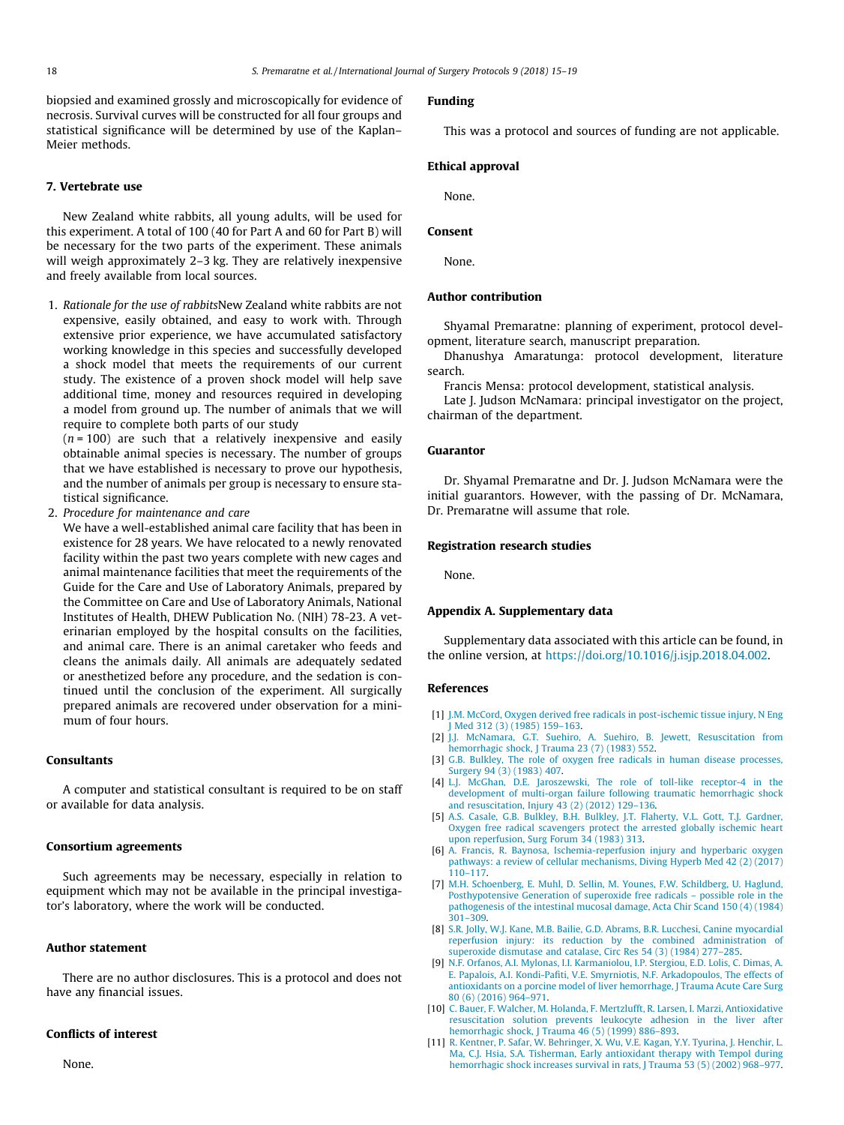<span id="page-3-0"></span>biopsied and examined grossly and microscopically for evidence of necrosis. Survival curves will be constructed for all four groups and statistical significance will be determined by use of the Kaplan– Meier methods.

## 7. Vertebrate use

New Zealand white rabbits, all young adults, will be used for this experiment. A total of 100 (40 for Part A and 60 for Part B) will be necessary for the two parts of the experiment. These animals will weigh approximately 2–3 kg. They are relatively inexpensive and freely available from local sources.

1. Rationale for the use of rabbitsNew Zealand white rabbits are not expensive, easily obtained, and easy to work with. Through extensive prior experience, we have accumulated satisfactory working knowledge in this species and successfully developed a shock model that meets the requirements of our current study. The existence of a proven shock model will help save additional time, money and resources required in developing a model from ground up. The number of animals that we will require to complete both parts of our study

 $(n = 100)$  are such that a relatively inexpensive and easily obtainable animal species is necessary. The number of groups that we have established is necessary to prove our hypothesis, and the number of animals per group is necessary to ensure statistical significance.

2. Procedure for maintenance and care

We have a well-established animal care facility that has been in existence for 28 years. We have relocated to a newly renovated facility within the past two years complete with new cages and animal maintenance facilities that meet the requirements of the Guide for the Care and Use of Laboratory Animals, prepared by the Committee on Care and Use of Laboratory Animals, National Institutes of Health, DHEW Publication No. (NIH) 78-23. A veterinarian employed by the hospital consults on the facilities, and animal care. There is an animal caretaker who feeds and cleans the animals daily. All animals are adequately sedated or anesthetized before any procedure, and the sedation is continued until the conclusion of the experiment. All surgically prepared animals are recovered under observation for a minimum of four hours.

#### Consultants

A computer and statistical consultant is required to be on staff or available for data analysis.

#### Consortium agreements

Such agreements may be necessary, especially in relation to equipment which may not be available in the principal investigator's laboratory, where the work will be conducted.

#### Author statement

There are no author disclosures. This is a protocol and does not have any financial issues.

#### Conflicts of interest

None.

# Funding

This was a protocol and sources of funding are not applicable.

## Ethical approval

None.

#### Consent

None.

#### Author contribution

Shyamal Premaratne: planning of experiment, protocol development, literature search, manuscript preparation.

Dhanushya Amaratunga: protocol development, literature search.

Francis Mensa: protocol development, statistical analysis.

Late J. Judson McNamara: principal investigator on the project, chairman of the department.

#### Guarantor

Dr. Shyamal Premaratne and Dr. J. Judson McNamara were the initial guarantors. However, with the passing of Dr. McNamara, Dr. Premaratne will assume that role.

#### Registration research studies

None.

#### Appendix A. Supplementary data

Supplementary data associated with this article can be found, in the online version, at [https://doi.org/10.1016/j.isjp.2018.04.002.](https://doi.org/10.1016/j.isjp.2018.04.002)

#### References

- [1] [J.M. McCord, Oxygen derived free radicals in post-ischemic tissue injury, N Eng](http://refhub.elsevier.com/S2468-3574(17)30036-0/h0005) [J Med 312 \(3\) \(1985\) 159–163.](http://refhub.elsevier.com/S2468-3574(17)30036-0/h0005)
- [2] [J.J. McNamara, G.T. Suehiro, A. Suehiro, B. Jewett, Resuscitation from](http://refhub.elsevier.com/S2468-3574(17)30036-0/h0010) [hemorrhagic shock, J Trauma 23 \(7\) \(1983\) 552.](http://refhub.elsevier.com/S2468-3574(17)30036-0/h0010)
- [3] [G.B. Bulkley, The role of oxygen free radicals in human disease processes,](http://refhub.elsevier.com/S2468-3574(17)30036-0/h0015) [Surgery 94 \(3\) \(1983\) 407](http://refhub.elsevier.com/S2468-3574(17)30036-0/h0015).
- [4] [L.J. McGhan, D.E. Jaroszewski, The role of toll-like receptor-4 in the](http://refhub.elsevier.com/S2468-3574(17)30036-0/h0020) [development of multi-organ failure following traumatic hemorrhagic shock](http://refhub.elsevier.com/S2468-3574(17)30036-0/h0020) [and resuscitation, Injury 43 \(2\) \(2012\) 129–136](http://refhub.elsevier.com/S2468-3574(17)30036-0/h0020).
- [5] [A.S. Casale, G.B. Bulkley, B.H. Bulkley, J.T. Flaherty, V.L. Gott, T.J. Gardner,](http://refhub.elsevier.com/S2468-3574(17)30036-0/h0025) [Oxygen free radical scavengers protect the arrested globally ischemic heart](http://refhub.elsevier.com/S2468-3574(17)30036-0/h0025) [upon reperfusion, Surg Forum 34 \(1983\) 313.](http://refhub.elsevier.com/S2468-3574(17)30036-0/h0025)
- [6] [A. Francis, R. Baynosa, Ischemia-reperfusion injury and hyperbaric oxygen](http://refhub.elsevier.com/S2468-3574(17)30036-0/h0030) [pathways: a review of cellular mechanisms, Diving Hyperb Med 42 \(2\) \(2017\)](http://refhub.elsevier.com/S2468-3574(17)30036-0/h0030) [110–117](http://refhub.elsevier.com/S2468-3574(17)30036-0/h0030).
- [7] [M.H. Schoenberg, E. Muhl, D. Sellin, M. Younes, F.W. Schildberg, U. Haglund,](http://refhub.elsevier.com/S2468-3574(17)30036-0/h0035) [Posthypotensive Generation of superoxide free radicals – possible role in the](http://refhub.elsevier.com/S2468-3574(17)30036-0/h0035) [pathogenesis of the intestinal mucosal damage, Acta Chir Scand 150 \(4\) \(1984\)](http://refhub.elsevier.com/S2468-3574(17)30036-0/h0035) [301–309](http://refhub.elsevier.com/S2468-3574(17)30036-0/h0035).
- [8] [S.R. Jolly, W.J. Kane, M.B. Bailie, G.D. Abrams, B.R. Lucchesi, Canine myocardial](http://refhub.elsevier.com/S2468-3574(17)30036-0/h0040) [reperfusion injury: its reduction by the combined administration of](http://refhub.elsevier.com/S2468-3574(17)30036-0/h0040) [superoxide dismutase and catalase, Circ Res 54 \(3\) \(1984\) 277–285](http://refhub.elsevier.com/S2468-3574(17)30036-0/h0040).
- [9] [N.F. Orfanos, A.I. Mylonas, I.I. Karmaniolou, I.P. Stergiou, E.D. Lolis, C. Dimas, A.](http://refhub.elsevier.com/S2468-3574(17)30036-0/h0045) [E. Papalois, A.I. Kondi-Pafiti, V.E. Smyrniotis, N.F. Arkadopoulos, The effects of](http://refhub.elsevier.com/S2468-3574(17)30036-0/h0045) [antioxidants on a porcine model of liver hemorrhage, J Trauma Acute Care Surg](http://refhub.elsevier.com/S2468-3574(17)30036-0/h0045) [80 \(6\) \(2016\) 964–971](http://refhub.elsevier.com/S2468-3574(17)30036-0/h0045).
- [10] [C. Bauer, F. Walcher, M. Holanda, F. Mertzlufft, R. Larsen, I. Marzi, Antioxidative](http://refhub.elsevier.com/S2468-3574(17)30036-0/h0050) [resuscitation solution prevents leukocyte adhesion in the liver after](http://refhub.elsevier.com/S2468-3574(17)30036-0/h0050) [hemorrhagic shock, J Trauma 46 \(5\) \(1999\) 886–893.](http://refhub.elsevier.com/S2468-3574(17)30036-0/h0050)
- [11] [R. Kentner, P. Safar, W. Behringer, X. Wu, V.E. Kagan, Y.Y. Tyurina, J. Henchir, L.](http://refhub.elsevier.com/S2468-3574(17)30036-0/h0055) [Ma, C.J. Hsia, S.A. Tisherman, Early antioxidant therapy with Tempol during](http://refhub.elsevier.com/S2468-3574(17)30036-0/h0055) [hemorrhagic shock increases survival in rats, J Trauma 53 \(5\) \(2002\) 968–977](http://refhub.elsevier.com/S2468-3574(17)30036-0/h0055).